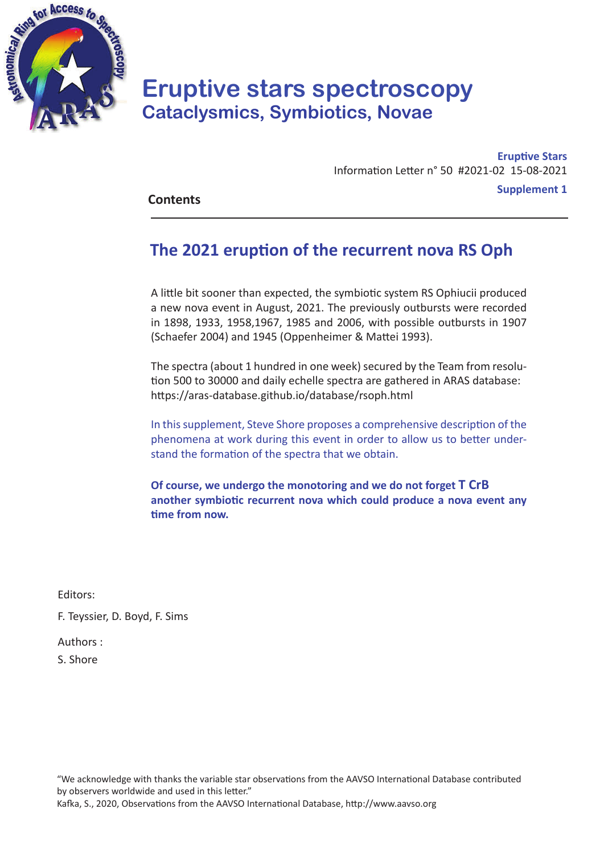

# **Eruptive stars spectroscopy Cataclysmics, Symbiotics, Novae**

**Eruptive Stars** Information Letter n° 50 #2021-02 15-08-2021 **Contents Supplement 1** 

## **The 2021 eruption of the recurrent nova RS Oph**

A little bit sooner than expected, the symbiotic system RS Ophiucii produced a new nova event in August, 2021. The previously outbursts were recorded in 1898, 1933, 1958,1967, 1985 and 2006, with possible outbursts in 1907 (Schaefer 2004) and 1945 (Oppenheimer & Mattei 1993).

The spectra (about 1 hundred in one week) secured by the Team from resolution 500 to 30000 and daily echelle spectra are gathered in ARAS database: https://aras-database.github.io/database/rsoph.html

In this supplement, Steve Shore proposes a comprehensive description of the phenomena at work during this event in order to allow us to better understand the formation of the spectra that we obtain.

**Of course, we undergo the monotoring and we do not forget T CrB another symbiotic recurrent nova which could produce a nova event any time from now.**

Editors:

F. Teyssier, D. Boyd, F. Sims

Authors :

S. Shore

"We acknowledge with thanks the variable star observations from the AAVSO International Database contributed by observers worldwide and used in this letter."

Kafka, S., 2020, Observations from the AAVSO International Database, http://www.aavso.org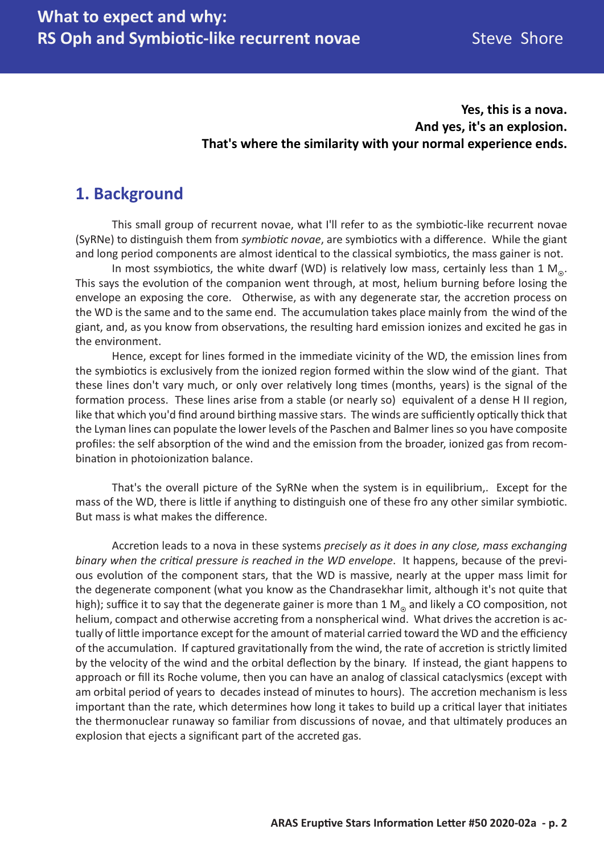### **Yes, this is a nova. And yes, it's an explosion. That's where the similarity with your normal experience ends.**

## **1. Background**

This small group of recurrent novae, what I'll refer to as the symbiotic-like recurrent novae (SyRNe) to distinguish them from *symbiotic novae*, are symbiotics with a difference. While the giant and long period components are almost identical to the classical symbiotics, the mass gainer is not.

In most ssymbiotics, the white dwarf (WD) is relatively low mass, certainly less than 1 M<sub>o</sub>. This says the evolution of the companion went through, at most, helium burning before losing the envelope an exposing the core. Otherwise, as with any degenerate star, the accretion process on the WD is the same and to the same end. The accumulation takes place mainly from the wind of the giant, and, as you know from observations, the resulting hard emission ionizes and excited he gas in the environment.

Hence, except for lines formed in the immediate vicinity of the WD, the emission lines from the symbiotics is exclusively from the ionized region formed within the slow wind of the giant. That these lines don't vary much, or only over relatively long times (months, years) is the signal of the formation process. These lines arise from a stable (or nearly so) equivalent of a dense H II region, like that which you'd find around birthing massive stars. The winds are sufficiently optically thick that the Lyman lines can populate the lower levels of the Paschen and Balmer lines so you have composite profiles: the self absorption of the wind and the emission from the broader, ionized gas from recombination in photoionization balance.

That's the overall picture of the SyRNe when the system is in equilibrium,. Except for the mass of the WD, there is little if anything to distinguish one of these fro any other similar symbiotic. But mass is what makes the difference.

Accretion leads to a nova in these systems *precisely as it does in any close, mass exchanging binary when the critical pressure is reached in the WD envelope*. It happens, because of the previous evolution of the component stars, that the WD is massive, nearly at the upper mass limit for the degenerate component (what you know as the Chandrasekhar limit, although it's not quite that high); suffice it to say that the degenerate gainer is more than 1  $M_{\odot}$  and likely a CO composition, not helium, compact and otherwise accreting from a nonspherical wind. What drives the accretion is actually of little importance except for the amount of material carried toward the WD and the efficiency of the accumulation. If captured gravitationally from the wind, the rate of accretion is strictly limited by the velocity of the wind and the orbital deflection by the binary. If instead, the giant happens to approach or fill its Roche volume, then you can have an analog of classical cataclysmics (except with am orbital period of years to decades instead of minutes to hours). The accretion mechanism is less important than the rate, which determines how long it takes to build up a critical layer that initiates the thermonuclear runaway so familiar from discussions of novae, and that ultimately produces an explosion that ejects a significant part of the accreted gas.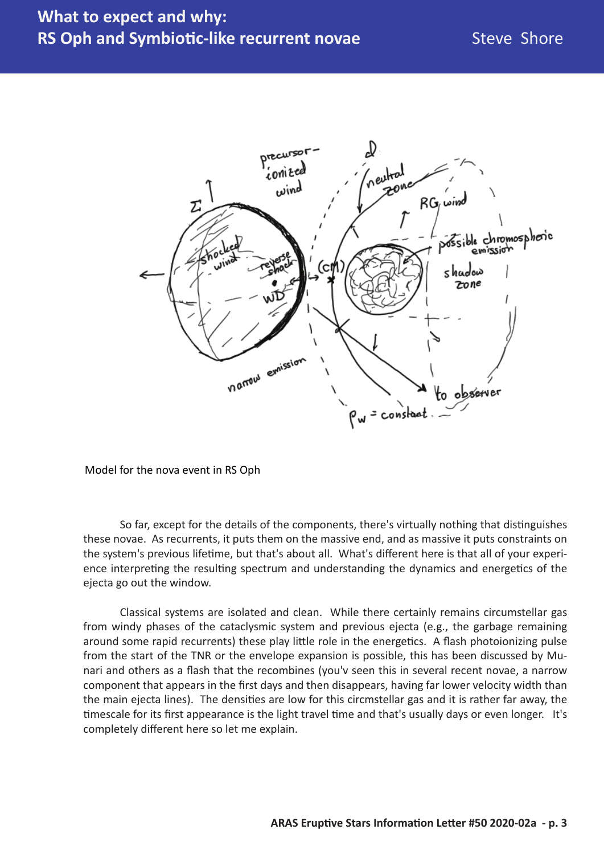

Model for the nova event in RS Oph

So far, except for the details of the components, there's virtually nothing that distinguishes these novae. As recurrents, it puts them on the massive end, and as massive it puts constraints on the system's previous lifetime, but that's about all. What's different here is that all of your experience interpreting the resulting spectrum and understanding the dynamics and energetics of the ejecta go out the window.

Classical systems are isolated and clean. While there certainly remains circumstellar gas from windy phases of the cataclysmic system and previous ejecta (e.g., the garbage remaining around some rapid recurrents) these play little role in the energetics. A flash photoionizing pulse from the start of the TNR or the envelope expansion is possible, this has been discussed by Munari and others as a flash that the recombines (you'v seen this in several recent novae, a narrow component that appears in the first days and then disappears, having far lower velocity width than the main ejecta lines). The densities are low for this circmstellar gas and it is rather far away, the timescale for its first appearance is the light travel time and that's usually days or even longer. It's completely different here so let me explain.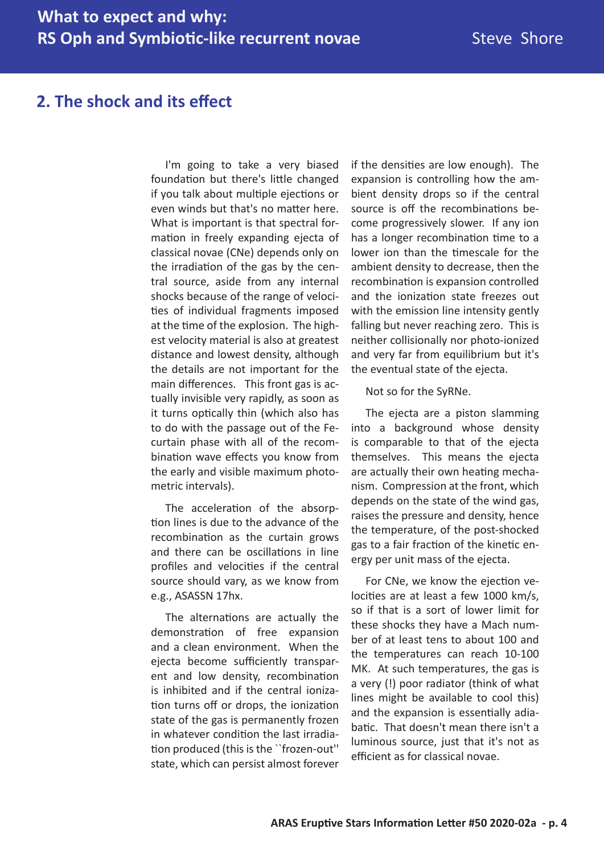### **2. The shock and its effect**

I'm going to take a very biased foundation but there's little changed if you talk about multiple ejections or even winds but that's no matter here. What is important is that spectral formation in freely expanding ejecta of classical novae (CNe) depends only on the irradiation of the gas by the central source, aside from any internal shocks because of the range of velocities of individual fragments imposed at the time of the explosion. The highest velocity material is also at greatest distance and lowest density, although the details are not important for the main differences. This front gas is actually invisible very rapidly, as soon as it turns optically thin (which also has to do with the passage out of the Fecurtain phase with all of the recombination wave effects you know from the early and visible maximum photometric intervals).

The acceleration of the absorption lines is due to the advance of the recombination as the curtain grows and there can be oscillations in line profiles and velocities if the central source should vary, as we know from e.g., ASASSN 17hx.

The alternations are actually the demonstration of free expansion and a clean environment. When the ejecta become sufficiently transparent and low density, recombination is inhibited and if the central ionization turns off or drops, the ionization state of the gas is permanently frozen in whatever condition the last irradiation produced (this is the ``frozen-out'' state, which can persist almost forever

if the densities are low enough). The expansion is controlling how the ambient density drops so if the central source is off the recombinations become progressively slower. If any ion has a longer recombination time to a lower ion than the timescale for the ambient density to decrease, then the recombination is expansion controlled and the ionization state freezes out with the emission line intensity gently falling but never reaching zero. This is neither collisionally nor photo-ionized and very far from equilibrium but it's the eventual state of the ejecta.

Not so for the SyRNe.

The ejecta are a piston slamming into a background whose density is comparable to that of the ejecta themselves. This means the ejecta are actually their own heating mechanism. Compression at the front, which depends on the state of the wind gas, raises the pressure and density, hence the temperature, of the post-shocked gas to a fair fraction of the kinetic energy per unit mass of the ejecta.

For CNe, we know the ejection velocities are at least a few 1000 km/s, so if that is a sort of lower limit for these shocks they have a Mach number of at least tens to about 100 and the temperatures can reach 10-100 MK. At such temperatures, the gas is a very (!) poor radiator (think of what lines might be available to cool this) and the expansion is essentially adiabatic. That doesn't mean there isn't a luminous source, just that it's not as efficient as for classical novae.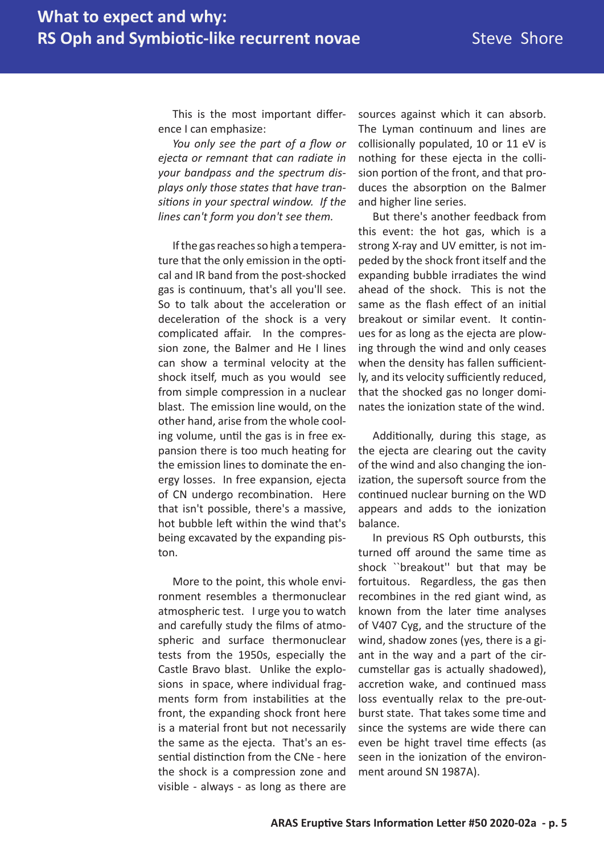This is the most important difference I can emphasize:

*You only see the part of a flow or ejecta or remnant that can radiate in your bandpass and the spectrum displays only those states that have transitions in your spectral window. If the lines can't form you don't see them.*

If the gas reaches so high a temperature that the only emission in the optical and IR band from the post-shocked gas is continuum, that's all you'll see. So to talk about the acceleration or deceleration of the shock is a very complicated affair. In the compression zone, the Balmer and He I lines can show a terminal velocity at the shock itself, much as you would see from simple compression in a nuclear blast. The emission line would, on the other hand, arise from the whole cooling volume, until the gas is in free expansion there is too much heating for the emission lines to dominate the energy losses. In free expansion, ejecta of CN undergo recombination. Here that isn't possible, there's a massive, hot bubble left within the wind that's being excavated by the expanding piston.

More to the point, this whole environment resembles a thermonuclear atmospheric test. I urge you to watch and carefully study the films of atmospheric and surface thermonuclear tests from the 1950s, especially the Castle Bravo blast. Unlike the explosions in space, where individual fragments form from instabilities at the front, the expanding shock front here is a material front but not necessarily the same as the ejecta. That's an essential distinction from the CNe - here the shock is a compression zone and visible - always - as long as there are

sources against which it can absorb. The Lyman continuum and lines are collisionally populated, 10 or 11 eV is nothing for these ejecta in the collision portion of the front, and that produces the absorption on the Balmer and higher line series.

But there's another feedback from this event: the hot gas, which is a strong X-ray and UV emitter, is not impeded by the shock front itself and the expanding bubble irradiates the wind ahead of the shock. This is not the same as the flash effect of an initial breakout or similar event. It continues for as long as the ejecta are plowing through the wind and only ceases when the density has fallen sufficiently, and its velocity sufficiently reduced, that the shocked gas no longer dominates the ionization state of the wind.

Additionally, during this stage, as the ejecta are clearing out the cavity of the wind and also changing the ionization, the supersoft source from the continued nuclear burning on the WD appears and adds to the ionization balance.

In previous RS Oph outbursts, this turned off around the same time as shock ``breakout'' but that may be fortuitous. Regardless, the gas then recombines in the red giant wind, as known from the later time analyses of V407 Cyg, and the structure of the wind, shadow zones (yes, there is a giant in the way and a part of the circumstellar gas is actually shadowed), accretion wake, and continued mass loss eventually relax to the pre-outburst state. That takes some time and since the systems are wide there can even be hight travel time effects (as seen in the ionization of the environment around SN 1987A).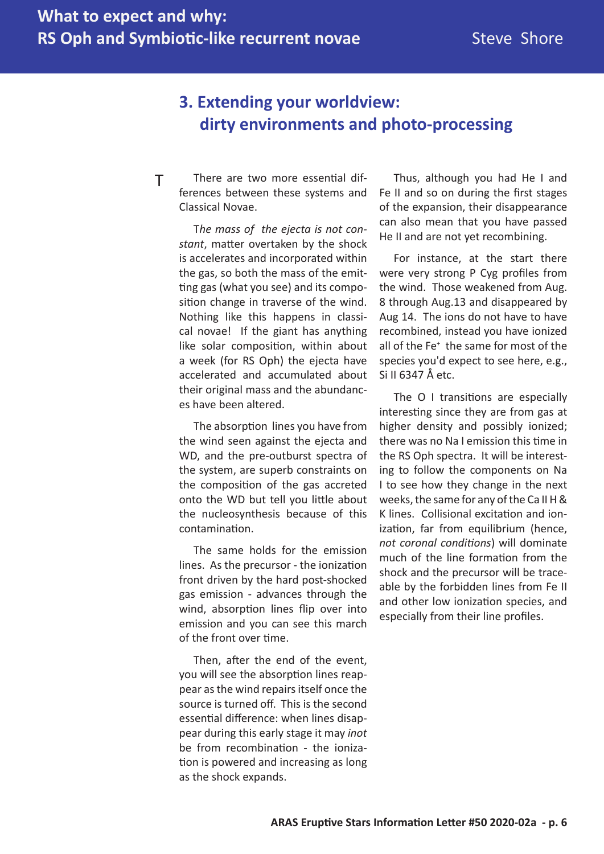## **3. Extending your worldview: dirty environments and photo-processing**

There are two more essential differences between these systems and Classical Novae. T

> T*he mass of the ejecta is not constant*, matter overtaken by the shock is accelerates and incorporated within the gas, so both the mass of the emitting gas (what you see) and its composition change in traverse of the wind. Nothing like this happens in classical novae! If the giant has anything like solar composition, within about a week (for RS Oph) the ejecta have accelerated and accumulated about their original mass and the abundances have been altered.

> The absorption lines you have from the wind seen against the ejecta and WD, and the pre-outburst spectra of the system, are superb constraints on the composition of the gas accreted onto the WD but tell you little about the nucleosynthesis because of this contamination.

> The same holds for the emission lines. As the precursor - the ionization front driven by the hard post-shocked gas emission - advances through the wind, absorption lines flip over into emission and you can see this march of the front over time.

> Then, after the end of the event, you will see the absorption lines reappear as the wind repairs itself once the source is turned off. This is the second essential difference: when lines disappear during this early stage it may *inot* be from recombination - the ionization is powered and increasing as long as the shock expands.

Thus, although you had He I and Fe II and so on during the first stages of the expansion, their disappearance can also mean that you have passed He II and are not yet recombining.

For instance, at the start there were very strong P Cyg profiles from the wind. Those weakened from Aug. 8 through Aug.13 and disappeared by Aug 14. The ions do not have to have recombined, instead you have ionized all of the Fe<sup>+</sup> the same for most of the species you'd expect to see here, e.g., Si II 6347 Å etc.

The O I transitions are especially interesting since they are from gas at higher density and possibly ionized; there was no Na I emission this time in the RS Oph spectra. It will be interesting to follow the components on Na I to see how they change in the next weeks, the same for any of the Ca II H & K lines. Collisional excitation and ionization, far from equilibrium (hence, *not coronal conditions*) will dominate much of the line formation from the shock and the precursor will be traceable by the forbidden lines from Fe II and other low ionization species, and especially from their line profiles.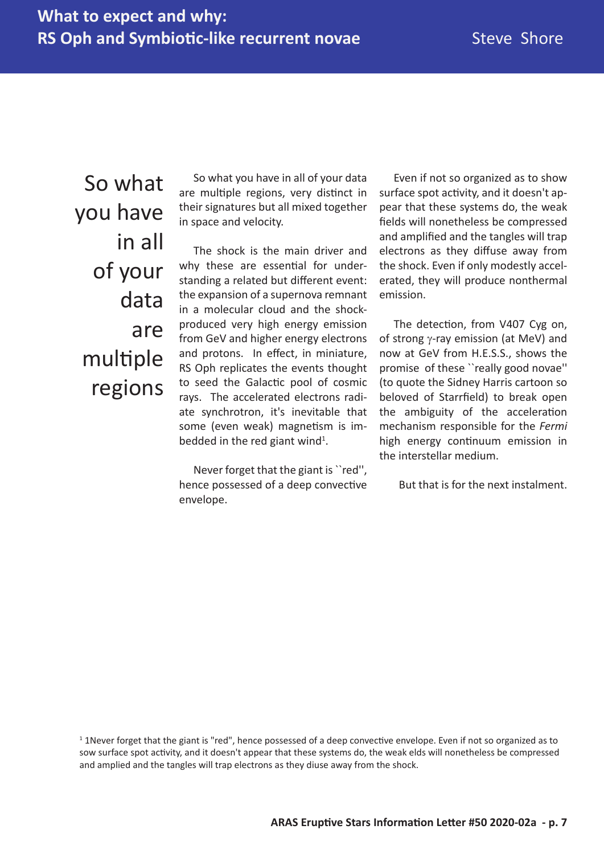So what you have in all of your data are multiple regions

So what you have in all of your data are multiple regions, very distinct in their signatures but all mixed together in space and velocity.

The shock is the main driver and why these are essential for understanding a related but different event: the expansion of a supernova remnant in a molecular cloud and the shockproduced very high energy emission from GeV and higher energy electrons and protons. In effect, in miniature, RS Oph replicates the events thought to seed the Galactic pool of cosmic rays. The accelerated electrons radiate synchrotron, it's inevitable that some (even weak) magnetism is imbedded in the red giant wind<sup>1</sup>.

Never forget that the giant is ``red'', hence possessed of a deep convective envelope.

Even if not so organized as to show surface spot activity, and it doesn't appear that these systems do, the weak fields will nonetheless be compressed and amplified and the tangles will trap electrons as they diffuse away from the shock. Even if only modestly accelerated, they will produce nonthermal emission.

The detection, from V407 Cyg on, of strong  $\gamma$ -ray emission (at MeV) and now at GeV from H.E.S.S., shows the promise of these ``really good novae'' (to quote the Sidney Harris cartoon so beloved of Starrfield) to break open the ambiguity of the acceleration mechanism responsible for the *Fermi* high energy continuum emission in the interstellar medium.

But that is for the next instalment.

 $1$  1Never forget that the giant is "red", hence possessed of a deep convective envelope. Even if not so organized as to sow surface spot activity, and it doesn't appear that these systems do, the weak elds will nonetheless be compressed and amplied and the tangles will trap electrons as they diuse away from the shock.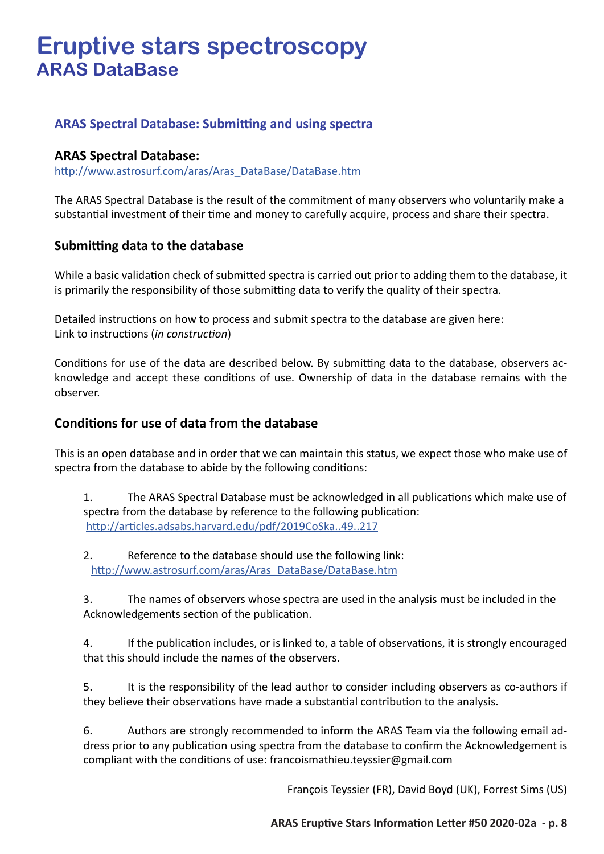# **Eruptive stars spectroscopy ARAS DataBase**

### **ARAS Spectral Database: Submitting and using spectra**

#### **ARAS Spectral Database:**

http://www.astrosurf.com/aras/Aras\_DataBase/DataBase.htm

The ARAS Spectral Database is the result of the commitment of many observers who voluntarily make a substantial investment of their time and money to carefully acquire, process and share their spectra.

#### **Submitting data to the database**

While a basic validation check of submitted spectra is carried out prior to adding them to the database, it is primarily the responsibility of those submitting data to verify the quality of their spectra.

Detailed instructions on how to process and submit spectra to the database are given here: Link to instructions (*in construction*)

Conditions for use of the data are described below. By submitting data to the database, observers acknowledge and accept these conditions of use. Ownership of data in the database remains with the observer.

#### **Conditions for use of data from the database**

This is an open database and in order that we can maintain this status, we expect those who make use of spectra from the database to abide by the following conditions:

1. The ARAS Spectral Database must be acknowledged in all publications which make use of spectra from the database by reference to the following publication: http://articles.adsabs.harvard.edu/pdf/2019CoSka..49..217

2. Reference to the database should use the following link: http://www.astrosurf.com/aras/Aras\_DataBase/DataBase.htm

3. The names of observers whose spectra are used in the analysis must be included in the Acknowledgements section of the publication.

4. If the publication includes, or is linked to, a table of observations, it is strongly encouraged that this should include the names of the observers.

5. It is the responsibility of the lead author to consider including observers as co-authors if they believe their observations have made a substantial contribution to the analysis.

6. Authors are strongly recommended to inform the ARAS Team via the following email address prior to any publication using spectra from the database to confirm the Acknowledgement is compliant with the conditions of use: francoismathieu.teyssier@gmail.com

François Teyssier (FR), David Boyd (UK), Forrest Sims (US)